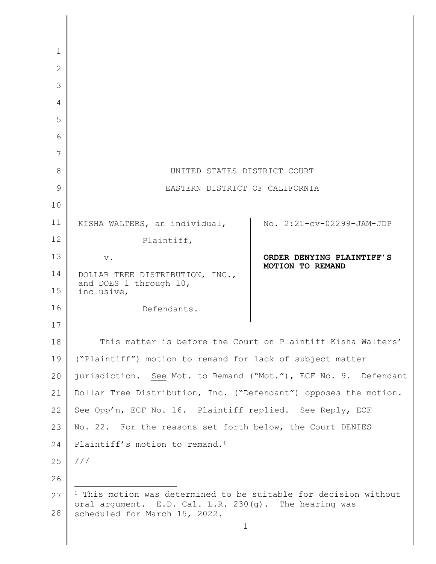| $\mathbf{1}$ |                                                                                        |                                                             |
|--------------|----------------------------------------------------------------------------------------|-------------------------------------------------------------|
| $\mathbf{2}$ |                                                                                        |                                                             |
| 3            |                                                                                        |                                                             |
| 4            |                                                                                        |                                                             |
| 5            |                                                                                        |                                                             |
| 6            |                                                                                        |                                                             |
| 7            |                                                                                        |                                                             |
| 8            | UNITED STATES DISTRICT COURT                                                           |                                                             |
| 9            | EASTERN DISTRICT OF CALIFORNIA                                                         |                                                             |
| 10           |                                                                                        |                                                             |
| 11           | KISHA WALTERS, an individual,                                                          | No. 2:21-cv-02299-JAM-JDP                                   |
| 12           | Plaintiff,                                                                             |                                                             |
| 13           | $V_{\bullet}$                                                                          | ORDER DENYING PLAINTIFF'S                                   |
| 14           | DOLLAR TREE DISTRIBUTION, INC.,<br>and DOES 1 through 10,                              | MOTION TO REMAND                                            |
| 15           | inclusive,                                                                             |                                                             |
| 16           | Defendants.                                                                            |                                                             |
| 17           |                                                                                        |                                                             |
| 18           |                                                                                        | This matter is before the Court on Plaintiff Kisha Walters' |
| 19           | ("Plaintiff") motion to remand for lack of subject matter                              |                                                             |
| 20           | jurisdiction. See Mot. to Remand ("Mot."), ECF No. 9. Defendant                        |                                                             |
| 21           | Dollar Tree Distribution, Inc. ("Defendant") opposes the motion.                       |                                                             |
| 22           | See Opp'n, ECF No. 16. Plaintiff replied. See Reply, ECF                               |                                                             |
| 23           | No. 22. For the reasons set forth below, the Court DENIES                              |                                                             |
| 24           | Plaintiff's motion to remand. <sup>1</sup>                                             |                                                             |
| 25           | ///                                                                                    |                                                             |
| 26           |                                                                                        |                                                             |
| 27           | <sup>1</sup> This motion was determined to be suitable for decision without            |                                                             |
| 28           | oral argument. E.D. Cal. L.R. 230(g). The hearing was<br>scheduled for March 15, 2022. |                                                             |
|              | $\mathbf 1$                                                                            |                                                             |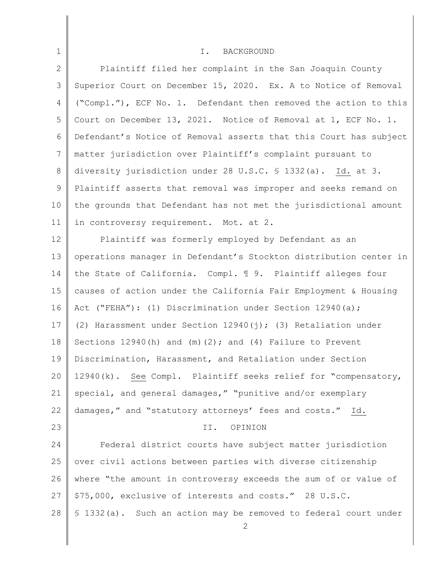| $\mathbf{1}$   | I.<br>BACKGROUND                                                     |
|----------------|----------------------------------------------------------------------|
| $\mathbf{2}$   | Plaintiff filed her complaint in the San Joaquin County              |
| 3              | Superior Court on December 15, 2020. Ex. A to Notice of Removal      |
| 4              | ("Compl."), ECF No. 1. Defendant then removed the action to this     |
| 5              | Court on December 13, 2021. Notice of Removal at 1, ECF No. 1.       |
| 6              | Defendant's Notice of Removal asserts that this Court has subject    |
| $7\phantom{.}$ | matter jurisdiction over Plaintiff's complaint pursuant to           |
| 8              | diversity jurisdiction under 28 U.S.C. § 1332(a). Id. at 3.          |
| $\mathsf 9$    | Plaintiff asserts that removal was improper and seeks remand on      |
| 10             | the grounds that Defendant has not met the jurisdictional amount     |
| 11             | in controversy requirement. Mot. at 2.                               |
| 12             | Plaintiff was formerly employed by Defendant as an                   |
| 13             | operations manager in Defendant's Stockton distribution center in    |
| 14             | the State of California. Compl. 19. Plaintiff alleges four           |
| 15             | causes of action under the California Fair Employment & Housing      |
| 16             | Act ("FEHA"): (1) Discrimination under Section 12940(a);             |
| 17             | (2) Harassment under Section $12940(j)$ ; (3) Retaliation under      |
| 18             | Sections 12940(h) and $(m)(2)$ ; and $(4)$ Failure to Prevent        |
| 19             | Discrimination, Harassment, and Retaliation under Section            |
| 20             | 12940(k). See Compl. Plaintiff seeks relief for "compensatory,       |
| 21             | special, and general damages," "punitive and/or exemplary            |
| 22             | damages," and "statutory attorneys' fees and costs." Id.             |
| 23             | OPINION<br>II.                                                       |
| 24             | Federal district courts have subject matter jurisdiction             |
| 25             | over civil actions between parties with diverse citizenship          |
| 26             | where "the amount in controversy exceeds the sum of or value of      |
| 27             | \$75,000, exclusive of interests and costs." 28 U.S.C.               |
| 28             | § 1332(a). Such an action may be removed to federal court under<br>2 |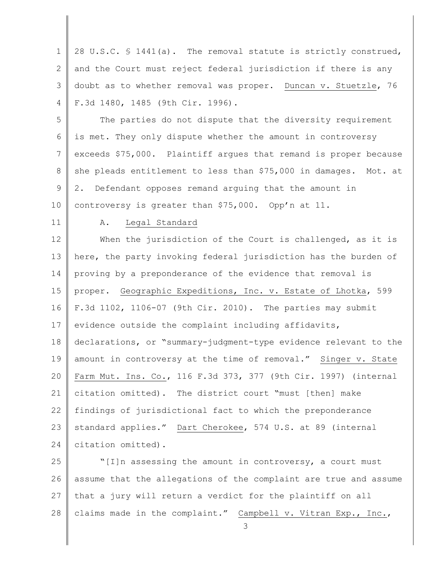1 2 3 4 28 U.S.C. § 1441(a). The removal statute is strictly construed, and the Court must reject federal jurisdiction if there is any doubt as to whether removal was proper. Duncan v. Stuetzle, 76 F.3d 1480, 1485 (9th Cir. 1996).

5 6 7 8 9 10 The parties do not dispute that the diversity requirement is met. They only dispute whether the amount in controversy exceeds \$75,000. Plaintiff argues that remand is proper because she pleads entitlement to less than \$75,000 in damages. Mot. at 2. Defendant opposes remand arguing that the amount in controversy is greater than \$75,000. Opp'n at 11.

11

## A. Legal Standard

12 13 14 15 16 17 18 19 20 21 22 23 24 When the jurisdiction of the Court is challenged, as it is here, the party invoking federal jurisdiction has the burden of proving by a preponderance of the evidence that removal is proper. Geographic Expeditions, Inc. v. Estate of Lhotka, 599 F.3d 1102, 1106-07 (9th Cir. 2010). The parties may submit evidence outside the complaint including affidavits, declarations, or "summary-judgment-type evidence relevant to the amount in controversy at the time of removal." Singer v. State Farm Mut. Ins. Co., 116 F.3d 373, 377 (9th Cir. 1997) (internal citation omitted). The district court "must [then] make findings of jurisdictional fact to which the preponderance standard applies." Dart Cherokee, 574 U.S. at 89 (internal citation omitted).

25 26 27 28 "[I]n assessing the amount in controversy, a court must assume that the allegations of the complaint are true and assume that a jury will return a verdict for the plaintiff on all claims made in the complaint." Campbell v. Vitran Exp., Inc.,

3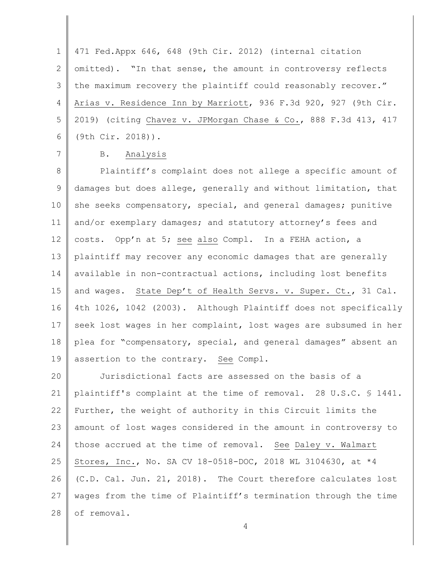1 2 3 4 5 6 471 Fed.Appx 646, 648 (9th Cir. 2012) (internal citation omitted). "In that sense, the amount in controversy reflects the maximum recovery the plaintiff could reasonably recover." Arias v. Residence Inn by Marriott, 936 F.3d 920, 927 (9th Cir. 2019) (citing Chavez v. JPMorgan Chase & Co., 888 F.3d 413, 417 (9th Cir. 2018)).

7

B. Analysis

8 9 10 11 12 13 14 15 16 17 18 19 Plaintiff's complaint does not allege a specific amount of damages but does allege, generally and without limitation, that she seeks compensatory, special, and general damages; punitive and/or exemplary damages; and statutory attorney's fees and costs. Opp'n at 5; see also Compl. In a FEHA action, a plaintiff may recover any economic damages that are generally available in non-contractual actions, including lost benefits and wages. State Dep't of Health Servs. v. Super. Ct., 31 Cal. 4th 1026, 1042 (2003). Although Plaintiff does not specifically seek lost wages in her complaint, lost wages are subsumed in her plea for "compensatory, special, and general damages" absent an assertion to the contrary. See Compl.

20 21 22 23 24 25 26 27 28 Jurisdictional facts are assessed on the basis of a plaintiff's complaint at the time of removal. 28 U.S.C. § 1441. Further, the weight of authority in this Circuit limits the amount of lost wages considered in the amount in controversy to those accrued at the time of removal. See Daley v. Walmart Stores, Inc., No. SA CV 18-0518-DOC, 2018 WL 3104630, at \*4 (C.D. Cal. Jun. 21, 2018). The Court therefore calculates lost wages from the time of Plaintiff's termination through the time of removal.

4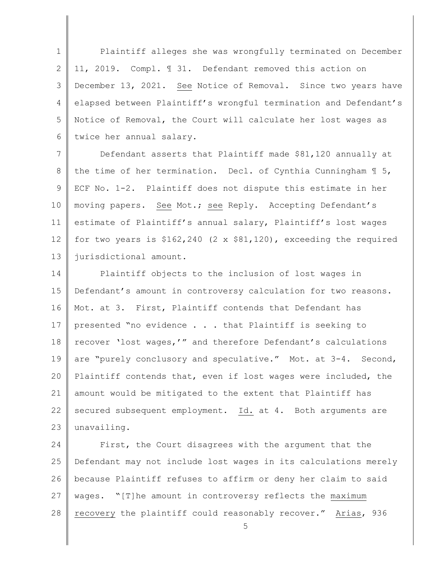1 2 3 4 5 6 Plaintiff alleges she was wrongfully terminated on December 11, 2019. Compl. ¶ 31. Defendant removed this action on December 13, 2021. See Notice of Removal. Since two years have elapsed between Plaintiff's wrongful termination and Defendant's Notice of Removal, the Court will calculate her lost wages as twice her annual salary.

7 8 9 10 11 12 13 Defendant asserts that Plaintiff made \$81,120 annually at the time of her termination. Decl. of Cynthia Cunningham ¶ 5, ECF No. 1-2. Plaintiff does not dispute this estimate in her moving papers. See Mot.; see Reply. Accepting Defendant's estimate of Plaintiff's annual salary, Plaintiff's lost wages for two years is  $$162,240$  (2 x  $$81,120$ ), exceeding the required jurisdictional amount.

14 15 16 17 18 19 20 21 22 23 Plaintiff objects to the inclusion of lost wages in Defendant's amount in controversy calculation for two reasons. Mot. at 3. First, Plaintiff contends that Defendant has presented "no evidence . . . that Plaintiff is seeking to recover 'lost wages,'" and therefore Defendant's calculations are "purely conclusory and speculative." Mot. at 3-4. Second, Plaintiff contends that, even if lost wages were included, the amount would be mitigated to the extent that Plaintiff has secured subsequent employment. Id. at 4. Both arguments are unavailing.

24 25 26 27 28 First, the Court disagrees with the argument that the Defendant may not include lost wages in its calculations merely because Plaintiff refuses to affirm or deny her claim to said wages. "[T]he amount in controversy reflects the maximum recovery the plaintiff could reasonably recover." Arias, 936

5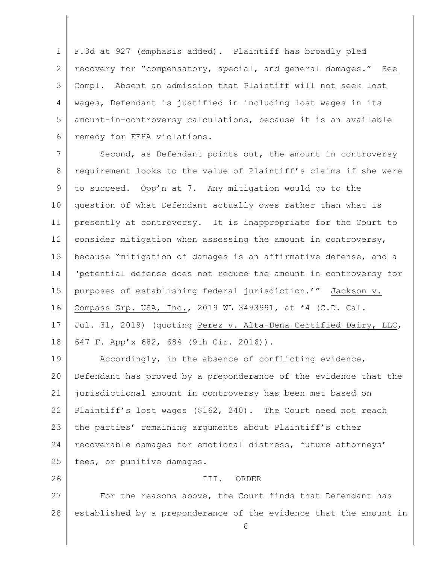1 2 3 4 5 6 F.3d at 927 (emphasis added). Plaintiff has broadly pled recovery for "compensatory, special, and general damages." See Compl. Absent an admission that Plaintiff will not seek lost wages, Defendant is justified in including lost wages in its amount-in-controversy calculations, because it is an available remedy for FEHA violations.

7 8 9 10 11 12 13 14 15 16 17 18 Second, as Defendant points out, the amount in controversy requirement looks to the value of Plaintiff's claims if she were to succeed. Opp'n at 7. Any mitigation would go to the question of what Defendant actually owes rather than what is presently at controversy. It is inappropriate for the Court to consider mitigation when assessing the amount in controversy, because "mitigation of damages is an affirmative defense, and a 'potential defense does not reduce the amount in controversy for purposes of establishing federal jurisdiction.'" Jackson v. Compass Grp. USA, Inc., 2019 WL 3493991, at \*4 (C.D. Cal. Jul. 31, 2019) (quoting Perez v. Alta-Dena Certified Dairy, LLC, 647 F. App'x 682, 684 (9th Cir. 2016)).

19 20 21 22 23 24 25 Accordingly, in the absence of conflicting evidence, Defendant has proved by a preponderance of the evidence that the jurisdictional amount in controversy has been met based on Plaintiff's lost wages (\$162, 240). The Court need not reach the parties' remaining arguments about Plaintiff's other recoverable damages for emotional distress, future attorneys' fees, or punitive damages.

III. ORDER

26

27 28 For the reasons above, the Court finds that Defendant has established by a preponderance of the evidence that the amount in